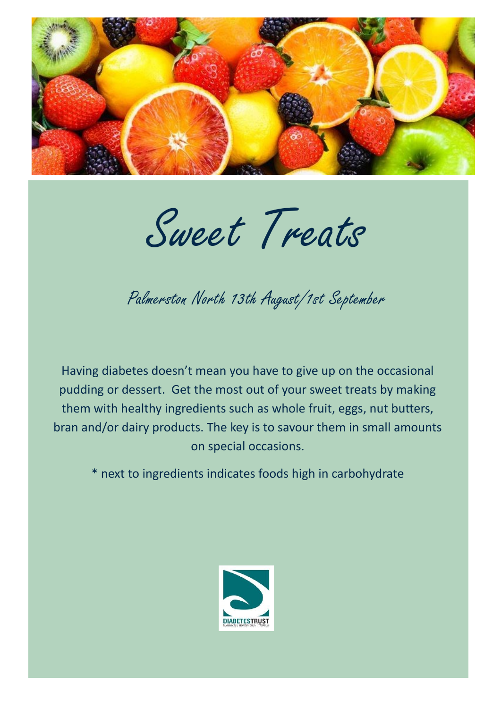

Sweet Treats

Palmerston North 13th August/1st September

Having diabetes doesn't mean you have to give up on the occasional pudding or dessert. Get the most out of your sweet treats by making them with healthy ingredients such as whole fruit, eggs, nut butters, bran and/or dairy products. The key is to savour them in small amounts on special occasions.

\* next to ingredients indicates foods high in carbohydrate

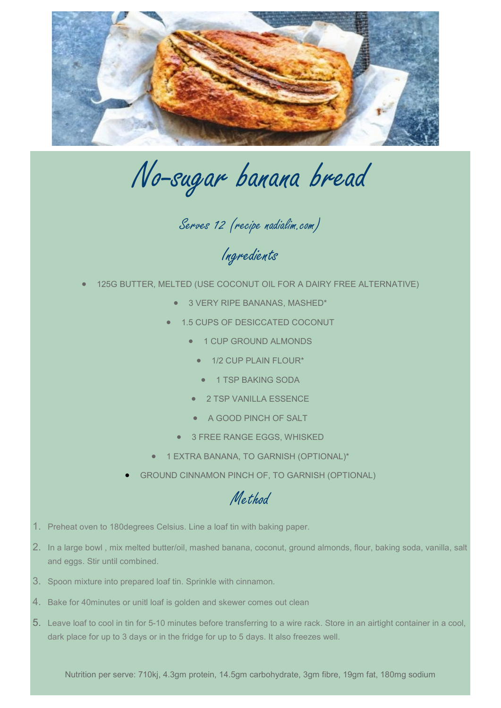

No-sugar banana bread

Serves 12 (recipe nadialim.com)

Ingredients

- 125G BUTTER, MELTED (USE COCONUT OIL FOR A DAIRY FREE ALTERNATIVE)
	- 3 VERY RIPE BANANAS, MASHED\*
	- 1.5 CUPS OF DESICCATED COCONUT
		- 1 CUP GROUND ALMONDS
			- 1/2 CUP PLAIN FLOUR\*
				- 1 TSP BAKING SODA
		- 2 TSP VANILLA ESSENCE
		- A GOOD PINCH OF SALT
		- 3 FREE RANGE EGGS, WHISKED
	- 1 EXTRA BANANA, TO GARNISH (OPTIONAL)\*
	- GROUND CINNAMON PINCH OF, TO GARNISH (OPTIONAL)

## Method

- 1. Preheat oven to 180degrees Celsius. Line a loaf tin with baking paper.
- 2. In a large bowl , mix melted butter/oil, mashed banana, coconut, ground almonds, flour, baking soda, vanilla, salt and eggs. Stir until combined.
- 3. Spoon mixture into prepared loaf tin. Sprinkle with cinnamon.
- 4. Bake for 40minutes or unitl loaf is golden and skewer comes out clean
- 5. Leave loaf to cool in tin for 5-10 minutes before transferring to a wire rack. Store in an airtight container in a cool, dark place for up to 3 days or in the fridge for up to 5 days. It also freezes well.

Nutrition per serve: 710kj, 4.3gm protein, 14.5gm carbohydrate, 3gm fibre, 19gm fat, 180mg sodium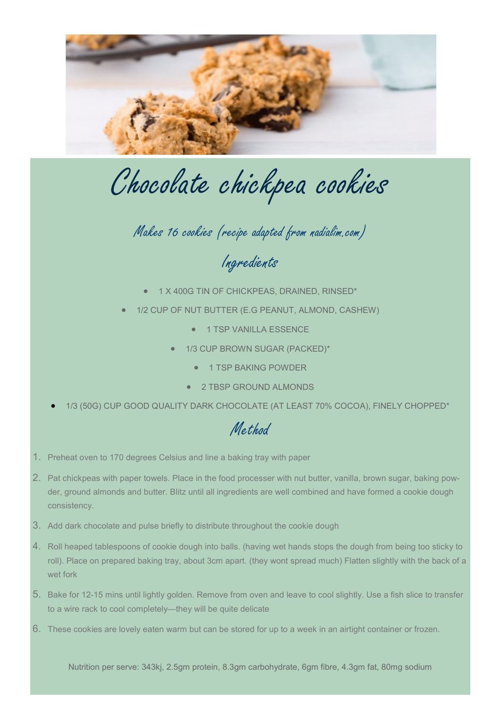

Chocolate chickpea cookies

Makes 16 cookies (recipe adapted from nadialim.com)

Ingredients

- 1 X 400G TIN OF CHICKPEAS, DRAINED, RINSED\*
- 1/2 CUP OF NUT BUTTER (E.G PEANUT, ALMOND, CASHEW)
	- 1 TSP VANILLA ESSENCE
	- 1/3 CUP BROWN SUGAR (PACKED)\*
		- 1 TSP BAKING POWDER
		- 2 TBSP GROUND ALMONDS
- 1/3 (50G) CUP GOOD QUALITY DARK CHOCOLATE (AT LEAST 70% COCOA), FINELY CHOPPED\*

## Method

- 1. Preheat oven to 170 degrees Celsius and line a baking tray with paper
- 2. Pat chickpeas with paper towels. Place in the food processer with nut butter, vanilla, brown sugar, baking powder, ground almonds and butter. Blitz until all ingredients are well combined and have formed a cookie dough consistency.
- 3. Add dark chocolate and pulse briefly to distribute throughout the cookie dough
- 4. Roll heaped tablespoons of cookie dough into balls. (having wet hands stops the dough from being too sticky to roll). Place on prepared baking tray, about 3cm apart. (they wont spread much) Flatten slightly with the back of a wet fork
- 5. Bake for 12-15 mins until lightly golden. Remove from oven and leave to cool slightly. Use a fish slice to transfer to a wire rack to cool completely—they will be quite delicate
- 6. These cookies are lovely eaten warm but can be stored for up to a week in an airtight container or frozen.

Nutrition per serve: 343kj, 2.5gm protein, 8.3gm carbohydrate, 6gm fibre, 4.3gm fat, 80mg sodium